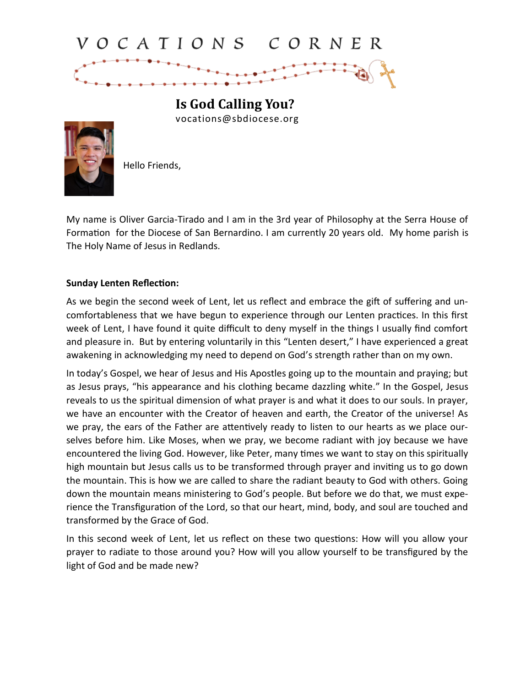## VOCATIONS CORNER



vocations@sbdiocese.org



Hello Friends,

My name is Oliver Garcia-Tirado and I am in the 3rd year of Philosophy at the Serra House of Formation for the Diocese of San Bernardino. I am currently 20 years old. My home parish is The Holy Name of Jesus in Redlands.

## **Sunday Lenten Reflection:**

As we begin the second week of Lent, let us reflect and embrace the gift of suffering and uncomfortableness that we have begun to experience through our Lenten practices. In this first week of Lent, I have found it quite difficult to deny myself in the things I usually find comfort and pleasure in. But by entering voluntarily in this "Lenten desert," I have experienced a great awakening in acknowledging my need to depend on God's strength rather than on my own.

In today's Gospel, we hear of Jesus and His Apostles going up to the mountain and praying; but as Jesus prays, "his appearance and his clothing became dazzling white." In the Gospel, Jesus reveals to us the spiritual dimension of what prayer is and what it does to our souls. In prayer, we have an encounter with the Creator of heaven and earth, the Creator of the universe! As we pray, the ears of the Father are attentively ready to listen to our hearts as we place ourselves before him. Like Moses, when we pray, we become radiant with joy because we have encountered the living God. However, like Peter, many times we want to stay on this spiritually high mountain but Jesus calls us to be transformed through prayer and inviting us to go down the mountain. This is how we are called to share the radiant beauty to God with others. Going down the mountain means ministering to God's people. But before we do that, we must experience the Transfiguration of the Lord, so that our heart, mind, body, and soul are touched and transformed by the Grace of God.

In this second week of Lent, let us reflect on these two questions: How will you allow your prayer to radiate to those around you? How will you allow yourself to be transfigured by the light of God and be made new?